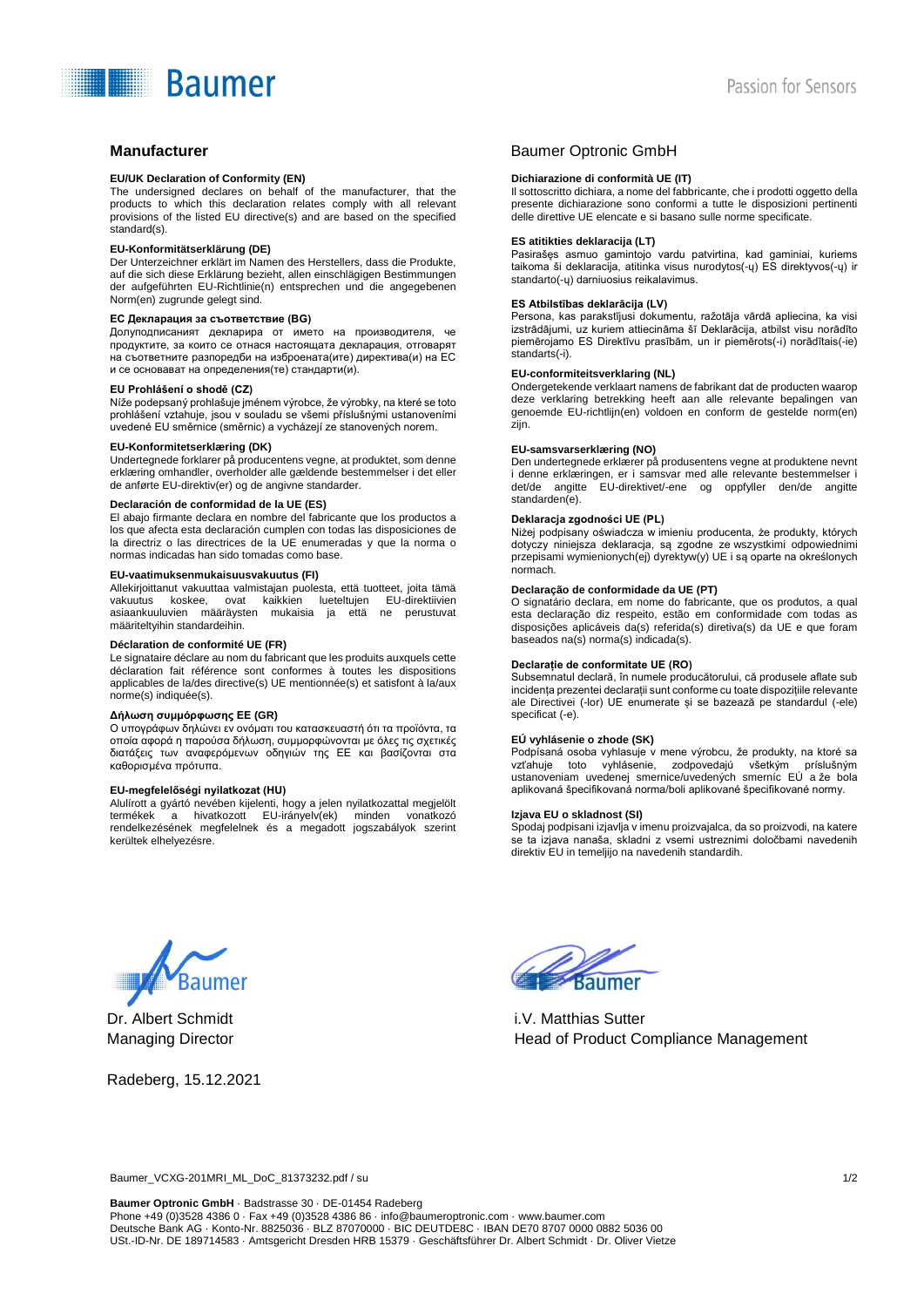# **Baumer**

#### **EU/UK Declaration of Conformity (EN)**

The undersigned declares on behalf of the manufacturer, that the products to which this declaration relates comply with all relevant provisions of the listed EU directive(s) and are based on the specified standard(s).

#### **EU-Konformitätserklärung (DE)**

Der Unterzeichner erklärt im Namen des Herstellers, dass die Produkte, auf die sich diese Erklärung bezieht, allen einschlägigen Bestimmungen der aufgeführten EU-Richtlinie(n) entsprechen und die angegebenen Norm(en) zugrunde gelegt sind.

### **ЕС Декларация за съответствие (BG)**

Долуподписаният декларира от името на производителя, че продуктите, за които се отнася настоящата декларация, отговарят на съответните разпоредби на изброената(ите) директива(и) на ЕС и се основават на определения(те) стандарти(и).

#### **EU Prohlášení o shodě (CZ)**

Níže podepsaný prohlašuje jménem výrobce, že výrobky, na které se toto prohlášení vztahuje, jsou v souladu se všemi příslušnými ustanoveními uvedené EU směrnice (směrnic) a vycházejí ze stanovených norem.

## **EU-Konformitetserklæring (DK)**

Undertegnede forklarer på producentens vegne, at produktet, som denne erklæring omhandler, overholder alle gældende bestemmelser i det eller de anførte EU-direktiv(er) og de angivne standarder.

#### **Declaración de conformidad de la UE (ES)**

El abajo firmante declara en nombre del fabricante que los productos a los que afecta esta declaración cumplen con todas las disposiciones de la directriz o las directrices de la UE enumeradas y que la norma o normas indicadas han sido tomadas como base.

#### **EU-vaatimuksenmukaisuusvakuutus (FI)**

Allekirjoittanut vakuuttaa valmistajan puolesta, että tuotteet, joita tämä vakuutus koskee, ovat kaikkien lueteltujen EU-direktiivien asiaankuuluvien määräysten mukaisia ja että ne perustuvat määriteltyihin standardeihin.

#### **Déclaration de conformité UE (FR)**

Le signataire déclare au nom du fabricant que les produits auxquels cette déclaration fait référence sont conformes à toutes les dispositions applicables de la/des directive(s) UE mentionnée(s) et satisfont à la/aux norme(s) indiquée(s).

#### **Δήλωση συμμόρφωσης ΕΕ (GR)**

Ο υπογράφων δηλώνει εν ονόματι του κατασκευαστή ότι τα προϊόντα, τα οποία αφορά η παρούσα δήλωση, συμμορφώνονται με όλες τις σχετικές διατάξεις των αναφερόμενων οδηγιών της ΕΕ και βασίζονται στα καθορισμένα πρότυπα.

#### **EU-megfelelőségi nyilatkozat (HU)**

Alulírott a gyártó nevében kijelenti, hogy a jelen nyilatkozattal megjelölt termékek a hivatkozott EU-irányelv(ek) minden vonatkozó rendelkezésének megfelelnek és a megadott jogszabályok szerint kerültek elhelyezésre.

# **Manufacturer Combine Combine Combine Combine Combine Combine Combine Combine Combine Combine Combine Combine Combine Combine Combine Combine Combine Combine Combine Combine Combine Combine Combine Combine Combine Combine**

#### **Dichiarazione di conformità UE (IT)**

Il sottoscritto dichiara, a nome del fabbricante, che i prodotti oggetto della presente dichiarazione sono conformi a tutte le disposizioni pertinenti delle direttive UE elencate e si basano sulle norme specificate.

#### **ES atitikties deklaracija (LT)**

Pasirašęs asmuo gamintojo vardu patvirtina, kad gaminiai, kuriems taikoma ši deklaracija, atitinka visus nurodytos(-ų) ES direktyvos(-ų) ir standarto(-ų) darniuosius reikalavimus.

#### **ES Atbilstības deklarācija (LV)**

Persona, kas parakstījusi dokumentu, ražotāja vārdā apliecina, ka visi izstrādājumi, uz kuriem attiecināma šī Deklarācija, atbilst visu norādīto piemērojamo ES Direktīvu prasībām, un ir piemērots(-i) norādītais(-ie) standarts(-i).

#### **EU-conformiteitsverklaring (NL)**

Ondergetekende verklaart namens de fabrikant dat de producten waarop deze verklaring betrekking heeft aan alle relevante bepalingen van genoemde EU-richtlijn(en) voldoen en conform de gestelde norm(en) zijn.

#### **EU-samsvarserklæring (NO)**

Den undertegnede erklærer på produsentens vegne at produktene nevnt i denne erklæringen, er i samsvar med alle relevante bestemmelser i det/de angitte EU-direktivet/-ene og oppfyller den/de angitte standarden(e).

### **Deklaracja zgodności UE (PL)**

Niżej podpisany oświadcza w imieniu producenta, że produkty, których dotyczy niniejsza deklaracja, są zgodne ze wszystkimi odpowiednimi przepisami wymienionych(ej) dyrektyw(y) UE i są oparte na określonych normach.

#### **Declaração de conformidade da UE (PT)**

O signatário declara, em nome do fabricante, que os produtos, a qual esta declaração diz respeito, estão em conformidade com todas as disposições aplicáveis da(s) referida(s) diretiva(s) da UE e que foram baseados na(s) norma(s) indicada(s).

#### **Declarație de conformitate UE (RO)**

Subsemnatul declară, în numele producătorului, că produsele aflate sub incidența prezentei declarații sunt conforme cu toate dispozițiile relevante ale Directivei (-lor) UE enumerate și se bazează pe standardul (-ele) specificat (-e).

#### **EÚ vyhlásenie o zhode (SK)**

Podpísaná osoba vyhlasuje v mene výrobcu, že produkty, na ktoré sa vzťahuje toto vyhlásenie, zodpovedajú všetkým príslušným ustanoveniam uvedenej smernice/uvedených smerníc EÚ a že bola aplikovaná špecifikovaná norma/boli aplikované špecifikované normy.

#### **Izjava EU o skladnost (SI)**

Spodaj podpisani izjavlja v imenu proizvajalca, da so proizvodi, na katere se ta izjava nanaša, skladni z vsemi ustreznimi določbami navedenih direktiv EU in temeljijo na navedenih standardih.



Dr. Albert Schmidt Managing Director

Radeberg, 15.12.2021



i.V. Matthias Sutter Head of Product Compliance Management

Baumer\_VCXG-201MRI\_ML\_DoC\_81373232.pdf / su 1/2